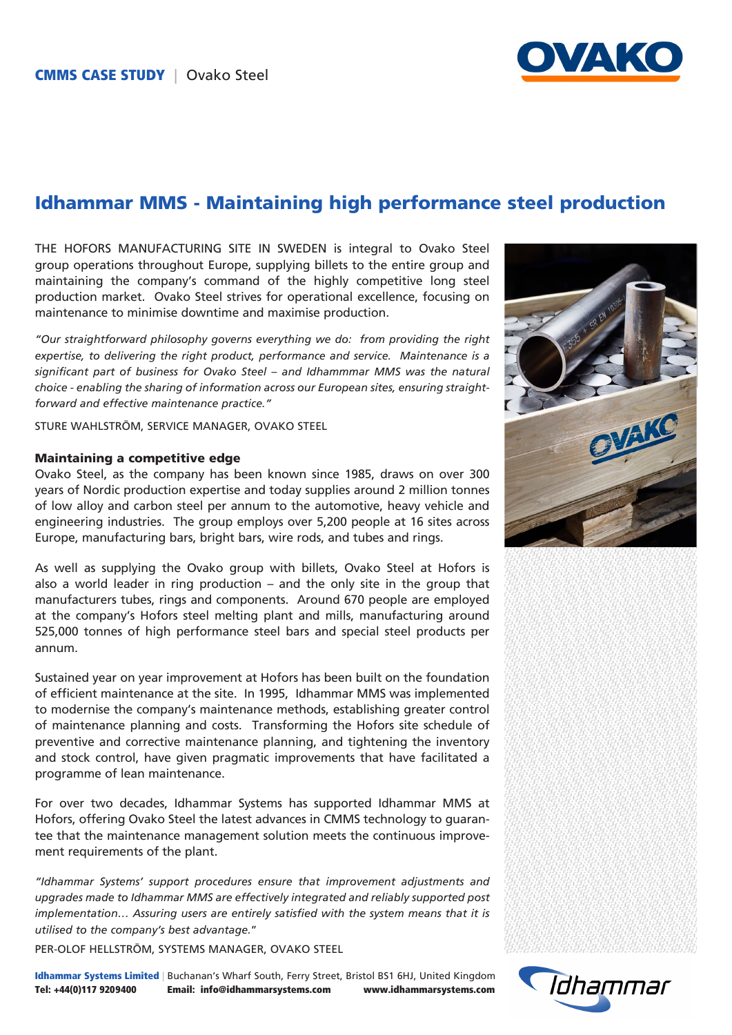

## Idhammar MMS - Maintaining high performance steel production

THE HOFORS MANUFACTURING SITE IN SWEDEN is integral to Ovako Steel group operations throughout Europe, supplying billets to the entire group and maintaining the company's command of the highly competitive long steel production market. Ovako Steel strives for operational excellence, focusing on maintenance to minimise downtime and maximise production.

*"Our straightforward philosophy governs everything we do: from providing the right expertise, to delivering the right product, performance and service. Maintenance is a significant part of business for Ovako Steel – and Idhammmar MMS was the natural choice - enabling the sharing of information across our European sites, ensuring straightforward and effective maintenance practice."*

STURE WAHLSTRÖM, SERVICE MANAGER, OVAKO STEEL

#### Maintaining a competitive edge

Ovako Steel, as the company has been known since 1985, draws on over 300 years of Nordic production expertise and today supplies around 2 million tonnes of low alloy and carbon steel per annum to the automotive, heavy vehicle and engineering industries. The group employs over 5,200 people at 16 sites across Europe, manufacturing bars, bright bars, wire rods, and tubes and rings.

As well as supplying the Ovako group with billets, Ovako Steel at Hofors is also a world leader in ring production – and the only site in the group that manufacturers tubes, rings and components. Around 670 people are employed at the company's Hofors steel melting plant and mills, manufacturing around 525,000 tonnes of high performance steel bars and special steel products per annum.

Sustained year on year improvement at Hofors has been built on the foundation of efficient maintenance at the site. In 1995, Idhammar MMS was implemented to modernise the company's maintenance methods, establishing greater control of maintenance planning and costs. Transforming the Hofors site schedule of preventive and corrective maintenance planning, and tightening the inventory and stock control, have given pragmatic improvements that have facilitated a programme of lean maintenance.

For over two decades, Idhammar Systems has supported Idhammar MMS at Hofors, offering Ovako Steel the latest advances in CMMS technology to guarantee that the maintenance management solution meets the continuous improvement requirements of the plant.

*"Idhammar Systems' support procedures ensure that improvement adjustments and upgrades made to Idhammar MMS are effectively integrated and reliably supported post implementation… Assuring users are entirely satisfied with the system means that it is utilised to the company's best advantage.*"

PER-OLOF HELLSTRÖM, SYSTEMS MANAGER, OVAKO STEEL

Idhammar Systems Limited | Buchanan's Wharf South, Ferry Street, Bristol BS1 6HJ, United Kingdom Tel: +44(0)117 9209400 Email: info@idhammarsystems.com www.idhammarsystems.com